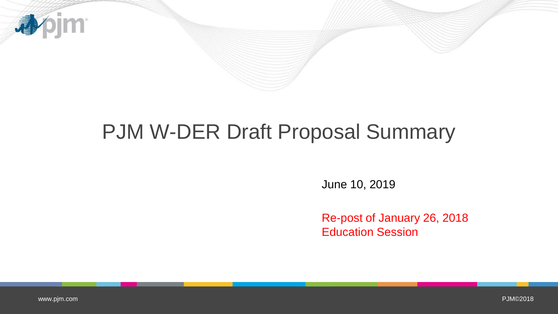

## PJM W-DER Draft Proposal Summary

June 10, 2019

Re-post of January 26, 2018 Education Session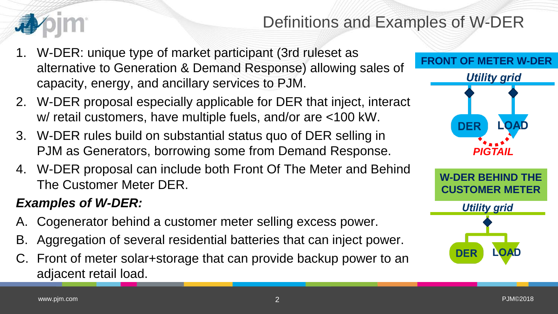## Definitions and Examples of W-DER

- 1. W-DER: unique type of market participant (3rd ruleset as alternative to Generation & Demand Response) allowing sales of capacity, energy, and ancillary services to PJM.
- 2. W-DER proposal especially applicable for DER that inject, interact w/ retail customers, have multiple fuels, and/or are <100 kW.
- 3. W-DER rules build on substantial status quo of DER selling in PJM as Generators, borrowing some from Demand Response.
- 4. W-DER proposal can include both Front Of The Meter and Behind The Customer Meter DER.

#### *Examples of W-DER:*

- A. Cogenerator behind a customer meter selling excess power.
- B. Aggregation of several residential batteries that can inject power.
- C. Front of meter solar+storage that can provide backup power to an adjacent retail load.



**DER**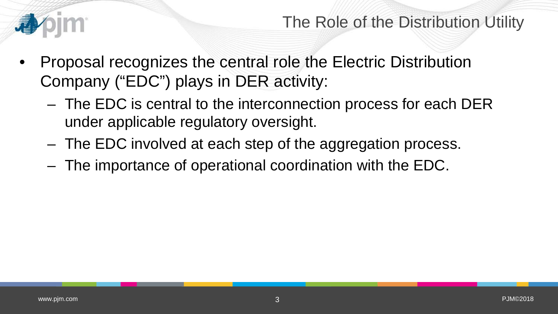

#### The Role of the Distribution Utility

- Proposal recognizes the central role the Electric Distribution Company ("EDC") plays in DER activity:
	- The EDC is central to the interconnection process for each DER under applicable regulatory oversight.
	- The EDC involved at each step of the aggregation process.
	- The importance of operational coordination with the EDC.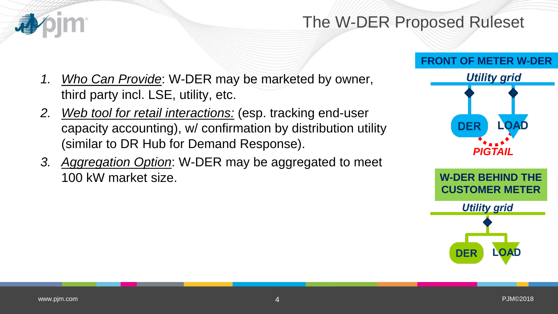### The W-DER Proposed Ruleset

#### **FRONT OF METER W-DER**

- *1. Who Can Provide*: W-DER may be marketed by owner, third party incl. LSE, utility, etc.
- *2. Web tool for retail interactions:* (esp. tracking end-user capacity accounting), w/ confirmation by distribution utility (similar to DR Hub for Demand Response).
- *3. Aggregation Option*: W-DER may be aggregated to meet 100 kW market size.

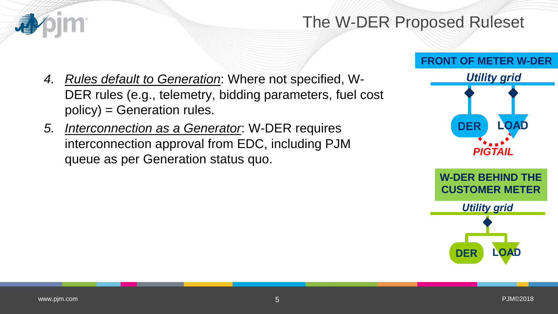### The W-DER Proposed Ruleset

- *4. Rules default to Generation*: Where not specified, W-DER rules (e.g., telemetry, bidding parameters, fuel cost policy) = Generation rules.
- *5. Interconnection as a Generator*: W-DER requires interconnection approval from EDC, including PJM queue as per Generation status quo.

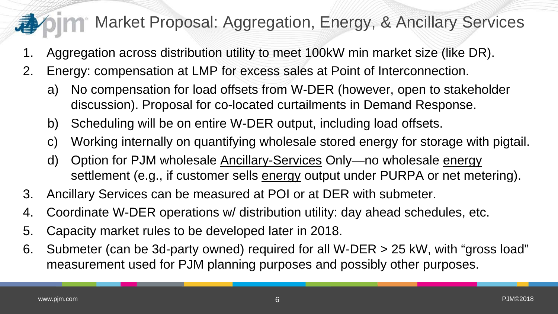## Market Proposal: Aggregation, Energy, & Ancillary Services

- 1. Aggregation across distribution utility to meet 100kW min market size (like DR).
- 2. Energy: compensation at LMP for excess sales at Point of Interconnection.
	- a) No compensation for load offsets from W-DER (however, open to stakeholder discussion). Proposal for co-located curtailments in Demand Response.
	- b) Scheduling will be on entire W-DER output, including load offsets.
	- c) Working internally on quantifying wholesale stored energy for storage with pigtail.
	- d) Option for PJM wholesale Ancillary-Services Only—no wholesale energy settlement (e.g., if customer sells energy output under PURPA or net metering).
- 3. Ancillary Services can be measured at POI or at DER with submeter.
- 4. Coordinate W-DER operations w/ distribution utility: day ahead schedules, etc.
- 5. Capacity market rules to be developed later in 2018.
- 6. Submeter (can be 3d-party owned) required for all W-DER > 25 kW, with "gross load" measurement used for PJM planning purposes and possibly other purposes.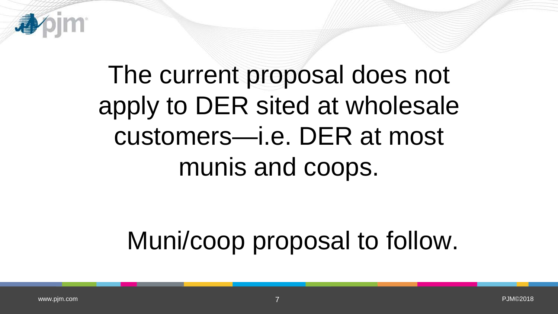

# The current proposal does not apply to DER sited at wholesale customers—i.e. DER at most munis and coops.

# Muni/coop proposal to follow.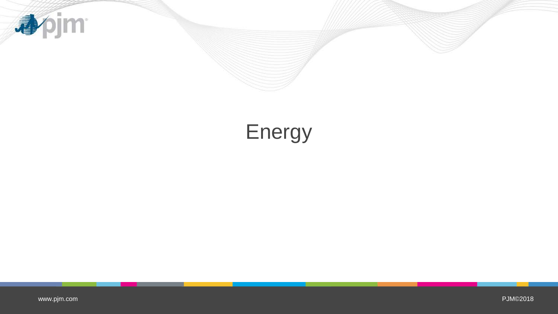

## Energy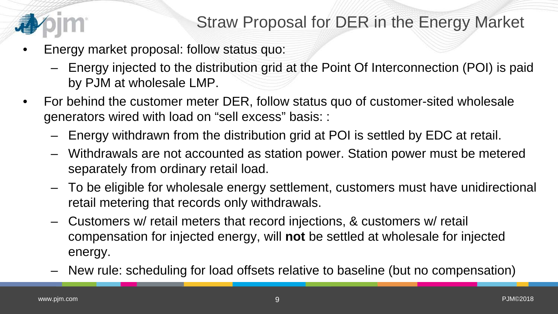

- Energy market proposal: follow status quo:
	- Energy injected to the distribution grid at the Point Of Interconnection (POI) is paid by PJM at wholesale LMP.
- For behind the customer meter DER, follow status quo of customer-sited wholesale generators wired with load on "sell excess" basis: :
	- Energy withdrawn from the distribution grid at POI is settled by EDC at retail.
	- Withdrawals are not accounted as station power. Station power must be metered separately from ordinary retail load.
	- To be eligible for wholesale energy settlement, customers must have unidirectional retail metering that records only withdrawals.
	- Customers w/ retail meters that record injections, & customers w/ retail compensation for injected energy, will **not** be settled at wholesale for injected energy.
	- New rule: scheduling for load offsets relative to baseline (but no compensation)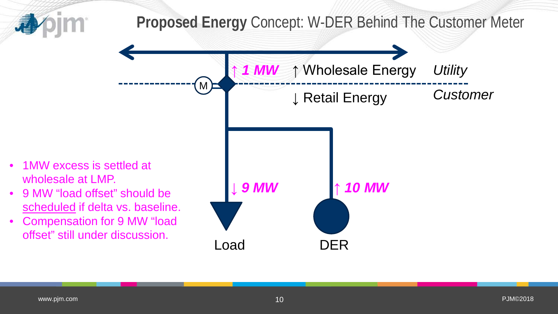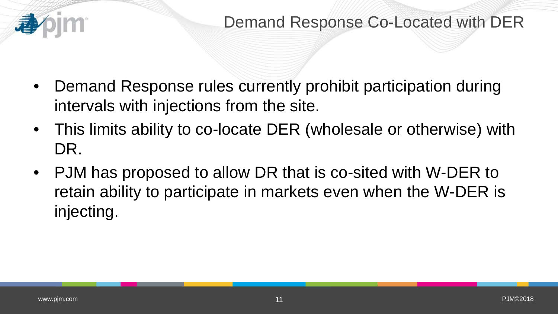

- Demand Response rules currently prohibit participation during intervals with injections from the site.
- This limits ability to co-locate DER (wholesale or otherwise) with DR.
- PJM has proposed to allow DR that is co-sited with W-DER to retain ability to participate in markets even when the W-DER is injecting.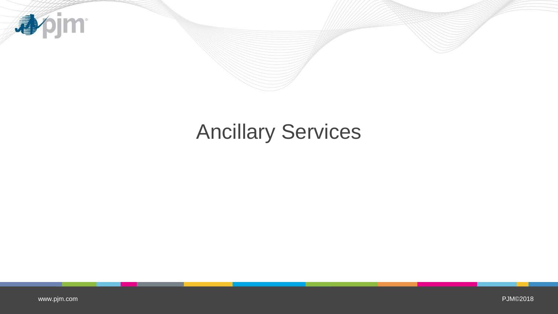

## Ancillary Services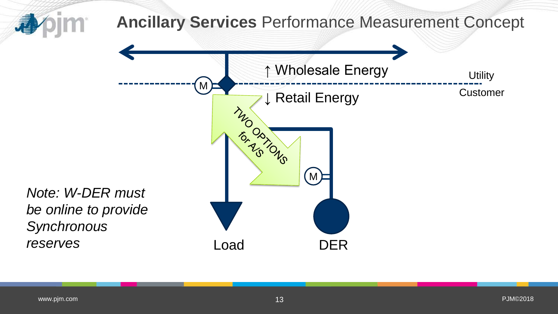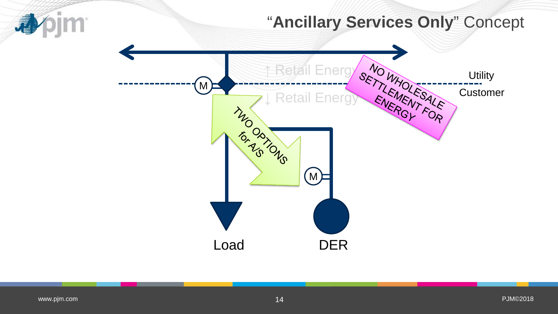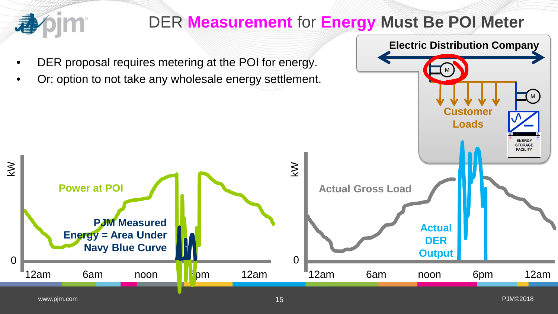

## DER **Measurement** for **Energy Must Be POI Meter**

M

**Electric Distribution Company**

M

- DER proposal requires metering at the POI for energy.
- Or: option to not take any wholesale energy settlement.

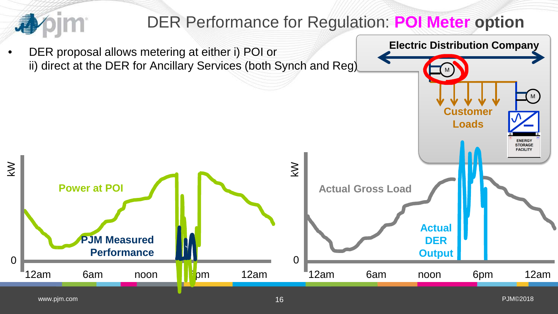

**Customer**

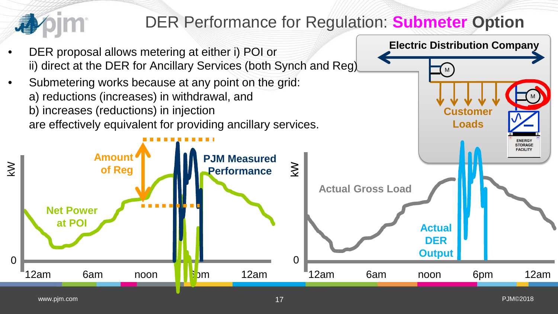

## DER Performance for Regulation: **Submeter Option**

**Customer**

M

**Electric Distribution Company**

M

- DER proposal allows metering at either i) POI or ii) direct at the DER for Ancillary Services (both Synch and Reg)
- Submetering works because at any point on the grid: a) reductions (increases) in withdrawal, and b) increases (reductions) in injection are effectively equivalent for providing ancillary services.

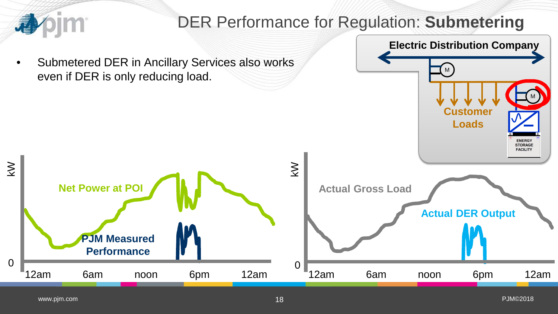

18 PJM©2018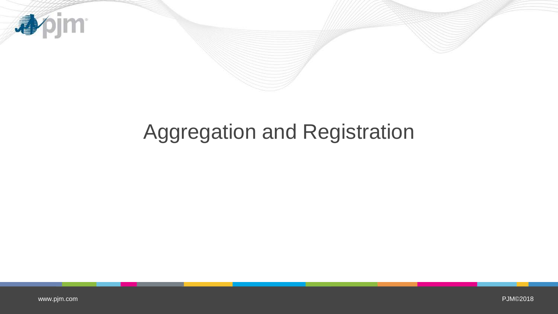

## Aggregation and Registration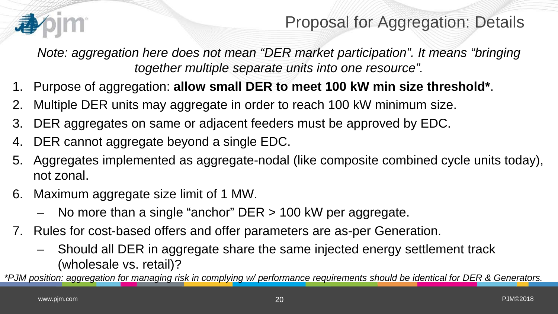

*Note: aggregation here does not mean "DER market participation". It means "bringing together multiple separate units into one resource".* 

- 1. Purpose of aggregation: **allow small DER to meet 100 kW min size threshold\***.
- 2. Multiple DER units may aggregate in order to reach 100 kW minimum size.
- 3. DER aggregates on same or adjacent feeders must be approved by EDC.
- 4. DER cannot aggregate beyond a single EDC.
- 5. Aggregates implemented as aggregate-nodal (like composite combined cycle units today), not zonal.
- 6. Maximum aggregate size limit of 1 MW.
	- No more than a single "anchor" DER > 100 kW per aggregate.
- 7. Rules for cost-based offers and offer parameters are as-per Generation.
	- Should all DER in aggregate share the same injected energy settlement track (wholesale vs. retail)?

*\*PJM position: aggregation for managing risk in complying w/ performance requirements should be identical for DER & Generators.*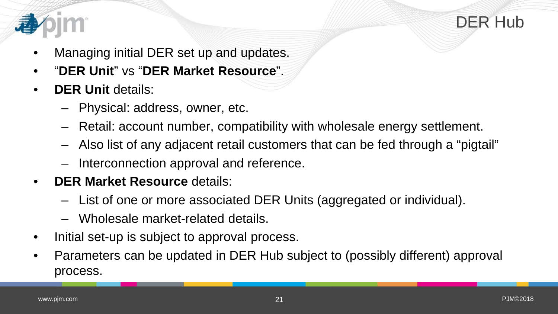



- Managing initial DER set up and updates.
- "**DER Unit**" vs "**DER Market Resource**".
- **DER Unit details:** 
	- Physical: address, owner, etc.
	- Retail: account number, compatibility with wholesale energy settlement.
	- Also list of any adjacent retail customers that can be fed through a "pigtail"
	- Interconnection approval and reference.
- **DER Market Resource** details:
	- List of one or more associated DER Units (aggregated or individual).
	- Wholesale market-related details.
- Initial set-up is subject to approval process.
- Parameters can be updated in DER Hub subject to (possibly different) approval process.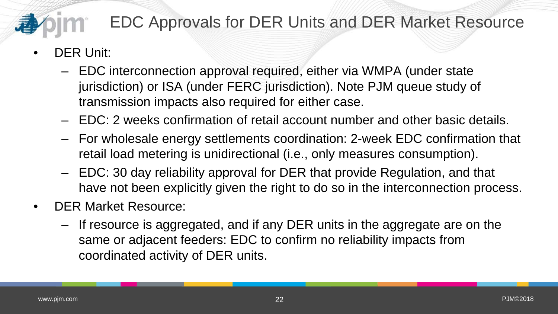## EDC Approvals for DER Units and DER Market Resource

- DER Unit:
	- EDC interconnection approval required, either via WMPA (under state jurisdiction) or ISA (under FERC jurisdiction). Note PJM queue study of transmission impacts also required for either case.
	- EDC: 2 weeks confirmation of retail account number and other basic details.
	- For wholesale energy settlements coordination: 2-week EDC confirmation that retail load metering is unidirectional (i.e., only measures consumption).
	- EDC: 30 day reliability approval for DER that provide Regulation, and that have not been explicitly given the right to do so in the interconnection process.
- DER Market Resource:
	- If resource is aggregated, and if any DER units in the aggregate are on the same or adjacent feeders: EDC to confirm no reliability impacts from coordinated activity of DER units.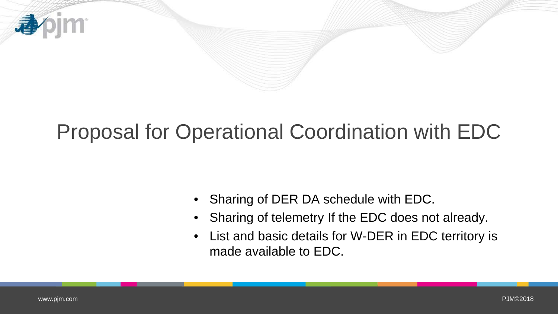

## Proposal for Operational Coordination with EDC

- Sharing of DER DA schedule with EDC.
- Sharing of telemetry If the EDC does not already.
- List and basic details for W-DER in EDC territory is made available to EDC.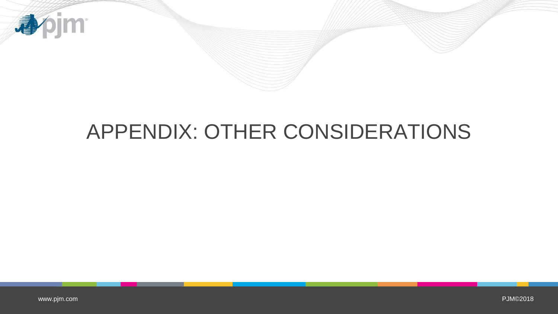

## APPENDIX: OTHER CONSIDERATIONS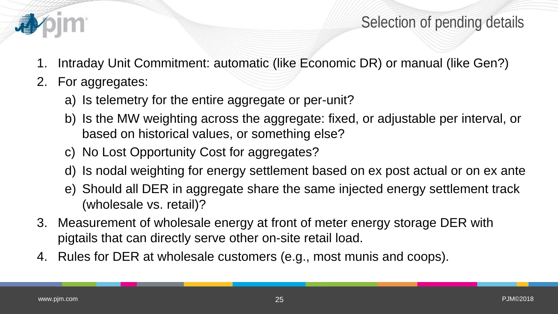

#### Selection of pending details

- 1. Intraday Unit Commitment: automatic (like Economic DR) or manual (like Gen?)
- 2. For aggregates:
	- a) Is telemetry for the entire aggregate or per-unit?
	- b) Is the MW weighting across the aggregate: fixed, or adjustable per interval, or based on historical values, or something else?
	- c) No Lost Opportunity Cost for aggregates?
	- d) Is nodal weighting for energy settlement based on ex post actual or on ex ante
	- e) Should all DER in aggregate share the same injected energy settlement track (wholesale vs. retail)?
- 3. Measurement of wholesale energy at front of meter energy storage DER with pigtails that can directly serve other on-site retail load.
- 4. Rules for DER at wholesale customers (e.g., most munis and coops).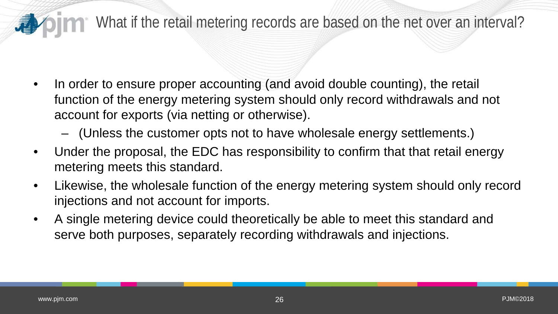## What if the retail metering records are based on the net over an interval?

- In order to ensure proper accounting (and avoid double counting), the retail function of the energy metering system should only record withdrawals and not account for exports (via netting or otherwise).
	- (Unless the customer opts not to have wholesale energy settlements.)
- Under the proposal, the EDC has responsibility to confirm that that retail energy metering meets this standard.
- Likewise, the wholesale function of the energy metering system should only record injections and not account for imports.
- A single metering device could theoretically be able to meet this standard and serve both purposes, separately recording withdrawals and injections.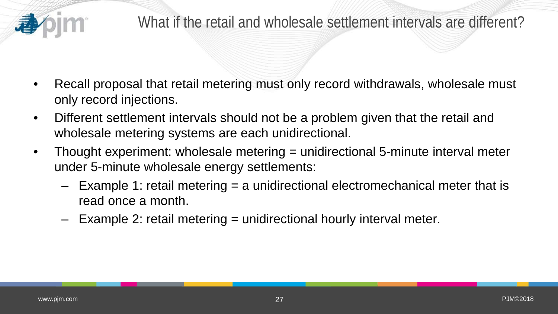

- Recall proposal that retail metering must only record withdrawals, wholesale must only record injections.
- Different settlement intervals should not be a problem given that the retail and wholesale metering systems are each unidirectional.
- Thought experiment: wholesale metering = unidirectional 5-minute interval meter under 5-minute wholesale energy settlements:
	- Example 1: retail metering = a unidirectional electromechanical meter that is read once a month.
	- Example 2: retail metering = unidirectional hourly interval meter.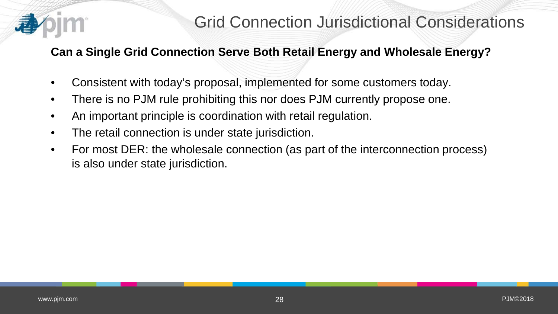

#### **Can a Single Grid Connection Serve Both Retail Energy and Wholesale Energy?**

- Consistent with today's proposal, implemented for some customers today.
- There is no PJM rule prohibiting this nor does PJM currently propose one.
- An important principle is coordination with retail regulation.
- The retail connection is under state jurisdiction.
- For most DER: the wholesale connection (as part of the interconnection process) is also under state jurisdiction.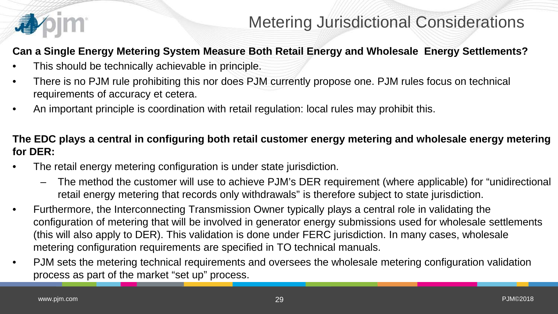

#### **Can a Single Energy Metering System Measure Both Retail Energy and Wholesale Energy Settlements?**

- This should be technically achievable in principle.
- There is no PJM rule prohibiting this nor does PJM currently propose one. PJM rules focus on technical requirements of accuracy et cetera.
- An important principle is coordination with retail regulation: local rules may prohibit this.

#### **The EDC plays a central in configuring both retail customer energy metering and wholesale energy metering for DER:**

- The retail energy metering configuration is under state jurisdiction.
	- The method the customer will use to achieve PJM's DER requirement (where applicable) for "unidirectional retail energy metering that records only withdrawals" is therefore subject to state jurisdiction.
- Furthermore, the Interconnecting Transmission Owner typically plays a central role in validating the configuration of metering that will be involved in generator energy submissions used for wholesale settlements (this will also apply to DER). This validation is done under FERC jurisdiction. In many cases, wholesale metering configuration requirements are specified in TO technical manuals.
- PJM sets the metering technical requirements and oversees the wholesale metering configuration validation process as part of the market "set up" process.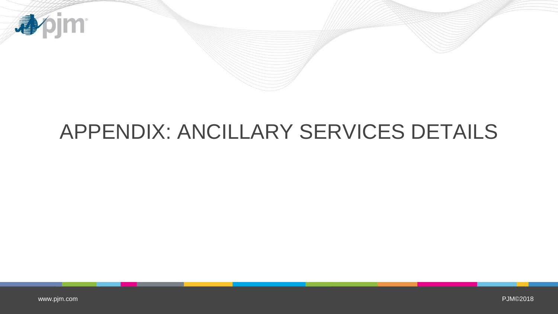

## APPENDIX: ANCILLARY SERVICES DETAILS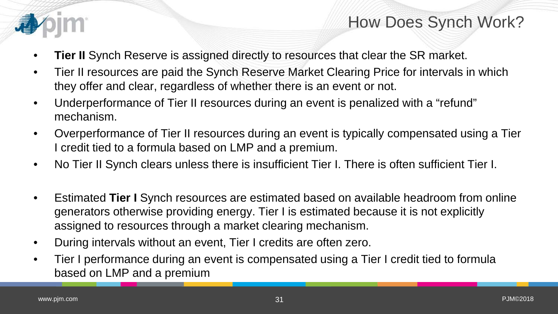

### How Does Synch Work?

- **Tier II** Synch Reserve is assigned directly to resources that clear the SR market.
- Tier II resources are paid the Synch Reserve Market Clearing Price for intervals in which they offer and clear, regardless of whether there is an event or not.
- Underperformance of Tier II resources during an event is penalized with a "refund" mechanism.
- Overperformance of Tier II resources during an event is typically compensated using a Tier I credit tied to a formula based on LMP and a premium.
- No Tier II Synch clears unless there is insufficient Tier I. There is often sufficient Tier I.
- Estimated **Tier I** Synch resources are estimated based on available headroom from online generators otherwise providing energy. Tier I is estimated because it is not explicitly assigned to resources through a market clearing mechanism.
- During intervals without an event, Tier I credits are often zero.
- Tier I performance during an event is compensated using a Tier I credit tied to formula based on LMP and a premium